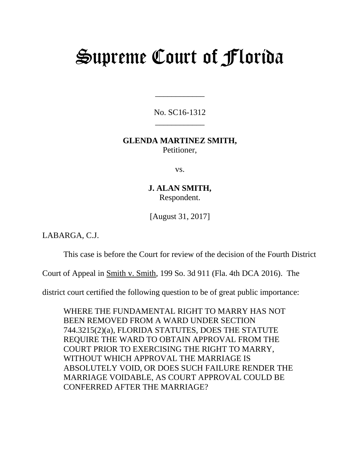# Supreme Court of Florida

No. SC16-1312 \_\_\_\_\_\_\_\_\_\_\_\_

\_\_\_\_\_\_\_\_\_\_\_\_

# **GLENDA MARTINEZ SMITH,** Petitioner,

vs.

**J. ALAN SMITH,** Respondent.

[August 31, 2017]

LABARGA, C.J.

This case is before the Court for review of the decision of the Fourth District

Court of Appeal in Smith v. Smith, 199 So. 3d 911 (Fla. 4th DCA 2016). The

district court certified the following question to be of great public importance:

WHERE THE FUNDAMENTAL RIGHT TO MARRY HAS NOT BEEN REMOVED FROM A WARD UNDER SECTION 744.3215(2)(a), FLORIDA STATUTES, DOES THE STATUTE REQUIRE THE WARD TO OBTAIN APPROVAL FROM THE COURT PRIOR TO EXERCISING THE RIGHT TO MARRY, WITHOUT WHICH APPROVAL THE MARRIAGE IS ABSOLUTELY VOID, OR DOES SUCH FAILURE RENDER THE MARRIAGE VOIDABLE, AS COURT APPROVAL COULD BE CONFERRED AFTER THE MARRIAGE?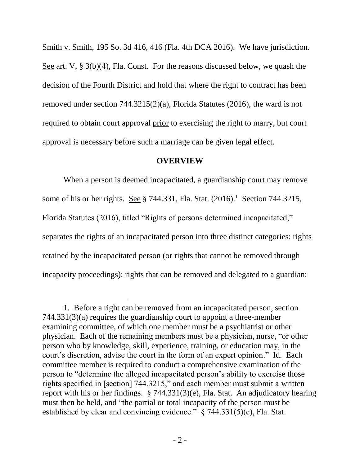Smith v. Smith, 195 So. 3d 416, 416 (Fla. 4th DCA 2016). We have jurisdiction. See art. V, § 3(b)(4), Fla. Const. For the reasons discussed below, we quash the decision of the Fourth District and hold that where the right to contract has been removed under section 744.3215(2)(a), Florida Statutes (2016), the ward is not required to obtain court approval prior to exercising the right to marry, but court approval is necessary before such a marriage can be given legal effect.

#### **OVERVIEW**

When a person is deemed incapacitated, a guardianship court may remove some of his or her rights. See  $\S 744.331$ , Fla. Stat.  $(2016).$ <sup>1</sup> Section 744.3215, Florida Statutes (2016), titled "Rights of persons determined incapacitated," separates the rights of an incapacitated person into three distinct categories: rights retained by the incapacitated person (or rights that cannot be removed through incapacity proceedings); rights that can be removed and delegated to a guardian;

l

<sup>1.</sup> Before a right can be removed from an incapacitated person, section 744.331(3)(a) requires the guardianship court to appoint a three-member examining committee, of which one member must be a psychiatrist or other physician. Each of the remaining members must be a physician, nurse, "or other person who by knowledge, skill, experience, training, or education may, in the court's discretion, advise the court in the form of an expert opinion." Id. Each committee member is required to conduct a comprehensive examination of the person to "determine the alleged incapacitated person's ability to exercise those rights specified in [section] 744.3215," and each member must submit a written report with his or her findings. § 744.331(3)(e), Fla. Stat. An adjudicatory hearing must then be held, and "the partial or total incapacity of the person must be established by clear and convincing evidence." § 744.331(5)(c), Fla. Stat.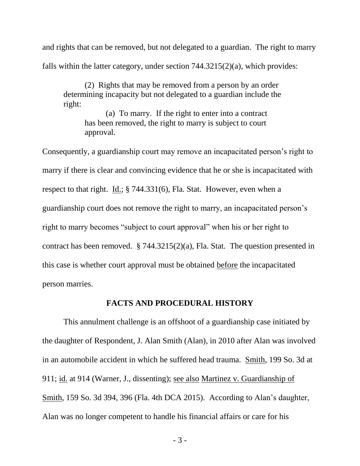and rights that can be removed, but not delegated to a guardian. The right to marry falls within the latter category, under section 744.3215(2)(a), which provides:

(2) Rights that may be removed from a person by an order determining incapacity but not delegated to a guardian include the right:

(a) To marry. If the right to enter into a contract has been removed, the right to marry is subject to court approval.

Consequently, a guardianship court may remove an incapacitated person's right to marry if there is clear and convincing evidence that he or she is incapacitated with respect to that right. Id.; § 744.331(6), Fla. Stat. However, even when a guardianship court does not remove the right to marry, an incapacitated person's right to marry becomes "subject to court approval" when his or her right to contract has been removed. § 744.3215(2)(a), Fla. Stat. The question presented in this case is whether court approval must be obtained before the incapacitated person marries.

## **FACTS AND PROCEDURAL HISTORY**

This annulment challenge is an offshoot of a guardianship case initiated by the daughter of Respondent, J. Alan Smith (Alan), in 2010 after Alan was involved in an automobile accident in which he suffered head trauma. Smith, 199 So. 3d at 911; id. at 914 (Warner, J., dissenting); see also Martinez v. Guardianship of Smith, 159 So. 3d 394, 396 (Fla. 4th DCA 2015). According to Alan's daughter, Alan was no longer competent to handle his financial affairs or care for his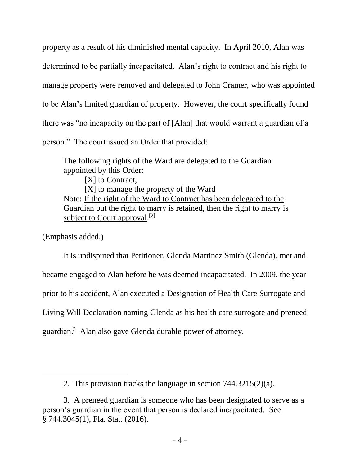property as a result of his diminished mental capacity. In April 2010, Alan was determined to be partially incapacitated. Alan's right to contract and his right to manage property were removed and delegated to John Cramer, who was appointed to be Alan's limited guardian of property. However, the court specifically found there was "no incapacity on the part of [Alan] that would warrant a guardian of a person." The court issued an Order that provided:

The following rights of the Ward are delegated to the Guardian appointed by this Order: [X] to Contract, [X] to manage the property of the Ward Note: If the right of the Ward to Contract has been delegated to the Guardian but the right to marry is retained, then the right to marry is subject to Court approval.<sup>[2]</sup>

(Emphasis added.)

 $\overline{a}$ 

It is undisputed that Petitioner, Glenda Martinez Smith (Glenda), met and became engaged to Alan before he was deemed incapacitated. In 2009, the year prior to his accident, Alan executed a Designation of Health Care Surrogate and Living Will Declaration naming Glenda as his health care surrogate and preneed guardian.<sup>3</sup> Alan also gave Glenda durable power of attorney.

<sup>2.</sup> This provision tracks the language in section 744.3215(2)(a).

<sup>3.</sup> A preneed guardian is someone who has been designated to serve as a person's guardian in the event that person is declared incapacitated. See § 744.3045(1), Fla. Stat. (2016).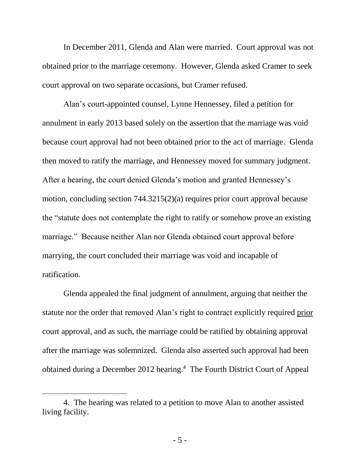In December 2011, Glenda and Alan were married. Court approval was not obtained prior to the marriage ceremony. However, Glenda asked Cramer to seek court approval on two separate occasions, but Cramer refused.

Alan's court-appointed counsel, Lynne Hennessey, filed a petition for annulment in early 2013 based solely on the assertion that the marriage was void because court approval had not been obtained prior to the act of marriage. Glenda then moved to ratify the marriage, and Hennessey moved for summary judgment. After a hearing, the court denied Glenda's motion and granted Hennessey's motion, concluding section 744.3215(2)(a) requires prior court approval because the "statute does not contemplate the right to ratify or somehow prove an existing marriage." Because neither Alan nor Glenda obtained court approval before marrying, the court concluded their marriage was void and incapable of ratification.

Glenda appealed the final judgment of annulment, arguing that neither the statute nor the order that removed Alan's right to contract explicitly required prior court approval, and as such, the marriage could be ratified by obtaining approval after the marriage was solemnized. Glenda also asserted such approval had been obtained during a December 2012 hearing.<sup>4</sup> The Fourth District Court of Appeal

 $\overline{a}$ 

<sup>4.</sup> The hearing was related to a petition to move Alan to another assisted living facility.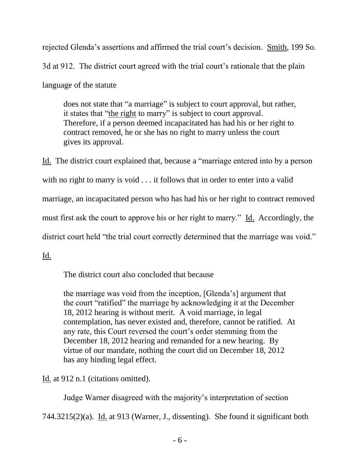rejected Glenda's assertions and affirmed the trial court's decision. Smith, 199 So. 3d at 912. The district court agreed with the trial court's rationale that the plain language of the statute

does not state that "a marriage" is subject to court approval, but rather, it states that "the right to marry" is subject to court approval. Therefore, if a person deemed incapacitated has had his or her right to contract removed, he or she has no right to marry unless the court gives its approval.

Id. The district court explained that, because a "marriage entered into by a person with no right to marry is void . . . it follows that in order to enter into a valid marriage, an incapacitated person who has had his or her right to contract removed must first ask the court to approve his or her right to marry." Id. Accordingly, the district court held "the trial court correctly determined that the marriage was void."

Id.

The district court also concluded that because

the marriage was void from the inception, [Glenda's] argument that the court "ratified" the marriage by acknowledging it at the December 18, 2012 hearing is without merit. A void marriage, in legal contemplation, has never existed and, therefore, cannot be ratified. At any rate, this Court reversed the court's order stemming from the December 18, 2012 hearing and remanded for a new hearing. By virtue of our mandate, nothing the court did on December 18, 2012 has any binding legal effect.

Id. at 912 n.1 (citations omitted).

Judge Warner disagreed with the majority's interpretation of section

744.3215(2)(a). Id. at 913 (Warner, J., dissenting). She found it significant both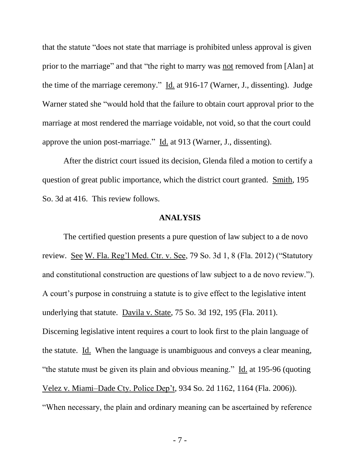that the statute "does not state that marriage is prohibited unless approval is given prior to the marriage" and that "the right to marry was not removed from [Alan] at the time of the marriage ceremony."  $\underline{Id}$  at 916-17 (Warner, J., dissenting). Judge Warner stated she "would hold that the failure to obtain court approval prior to the marriage at most rendered the marriage voidable, not void, so that the court could approve the union post-marriage." Id. at 913 (Warner, J., dissenting).

After the district court issued its decision, Glenda filed a motion to certify a question of great public importance, which the district court granted. Smith, 195 So. 3d at 416. This review follows.

#### **ANALYSIS**

The certified question presents a pure question of law subject to a de novo review. See W. Fla. Reg'l Med. Ctr. v. See, 79 So. 3d 1, 8 (Fla. 2012) ("Statutory and constitutional construction are questions of law subject to a de novo review."). A court's purpose in construing a statute is to give effect to the legislative intent underlying that statute. Davila v. State, 75 So. 3d 192, 195 (Fla. 2011). Discerning legislative intent requires a court to look first to the plain language of the statute. Id. When the language is unambiguous and conveys a clear meaning, "the statute must be given its plain and obvious meaning." Id. at 195-96 (quoting Velez v. Miami–Dade Cty. Police Dep't, 934 So. 2d 1162, 1164 (Fla. 2006)). "When necessary, the plain and ordinary meaning can be ascertained by reference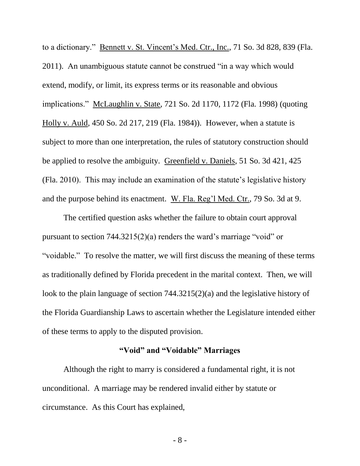to a dictionary." Bennett v. St. Vincent's Med. Ctr., Inc., 71 So. 3d 828, 839 (Fla. 2011). An unambiguous statute cannot be construed "in a way which would extend, modify, or limit, its express terms or its reasonable and obvious implications." McLaughlin v. State, 721 So. 2d 1170, 1172 (Fla. 1998) (quoting Holly v. Auld, 450 So. 2d 217, 219 (Fla. 1984)). However, when a statute is subject to more than one interpretation, the rules of statutory construction should be applied to resolve the ambiguity. Greenfield v. Daniels, 51 So. 3d 421, 425 (Fla. 2010). This may include an examination of the statute's legislative history and the purpose behind its enactment. W. Fla. Reg'l Med. Ctr., 79 So. 3d at 9.

The certified question asks whether the failure to obtain court approval pursuant to section 744.3215(2)(a) renders the ward's marriage "void" or "voidable." To resolve the matter, we will first discuss the meaning of these terms as traditionally defined by Florida precedent in the marital context. Then, we will look to the plain language of section 744.3215(2)(a) and the legislative history of the Florida Guardianship Laws to ascertain whether the Legislature intended either of these terms to apply to the disputed provision.

# **"Void" and "Voidable" Marriages**

Although the right to marry is considered a fundamental right, it is not unconditional. A marriage may be rendered invalid either by statute or circumstance. As this Court has explained,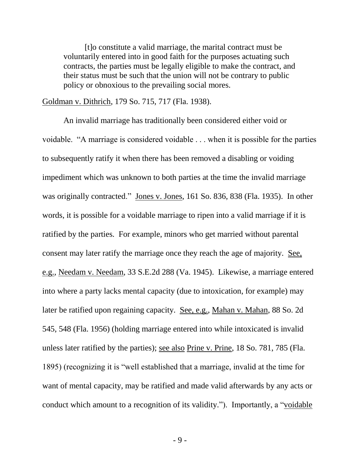[t]o constitute a valid marriage, the marital contract must be voluntarily entered into in good faith for the purposes actuating such contracts, the parties must be legally eligible to make the contract, and their status must be such that the union will not be contrary to public policy or obnoxious to the prevailing social mores.

Goldman v. Dithrich, 179 So. 715, 717 (Fla. 1938).

An invalid marriage has traditionally been considered either void or voidable. "A marriage is considered voidable . . . when it is possible for the parties to subsequently ratify it when there has been removed a disabling or voiding impediment which was unknown to both parties at the time the invalid marriage was originally contracted." Jones v. Jones, 161 So. 836, 838 (Fla. 1935). In other words, it is possible for a voidable marriage to ripen into a valid marriage if it is ratified by the parties. For example, minors who get married without parental consent may later ratify the marriage once they reach the age of majority. See, e.g., Needam v. Needam, 33 S.E.2d 288 (Va. 1945). Likewise, a marriage entered into where a party lacks mental capacity (due to intoxication, for example) may later be ratified upon regaining capacity. See, e.g., Mahan v. Mahan, 88 So. 2d 545, 548 (Fla. 1956) (holding marriage entered into while intoxicated is invalid unless later ratified by the parties); see also Prine v. Prine, 18 So. 781, 785 (Fla. 1895) (recognizing it is "well established that a marriage, invalid at the time for want of mental capacity, may be ratified and made valid afterwards by any acts or conduct which amount to a recognition of its validity."). Importantly, a "voidable

- 9 -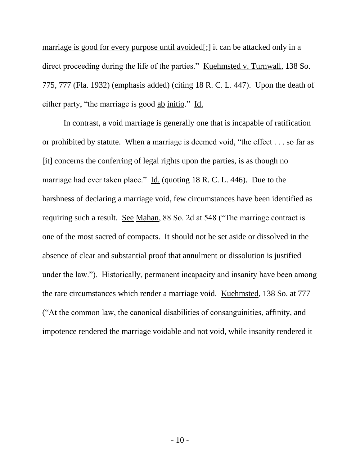marriage is good for every purpose until avoided[;] it can be attacked only in a direct proceeding during the life of the parties." Kuehmsted v. Turnwall, 138 So. 775, 777 (Fla. 1932) (emphasis added) (citing 18 R. C. L. 447). Upon the death of either party, "the marriage is good ab initio." Id.

In contrast, a void marriage is generally one that is incapable of ratification or prohibited by statute. When a marriage is deemed void, "the effect . . . so far as [it] concerns the conferring of legal rights upon the parties, is as though no marriage had ever taken place." Id. (quoting 18 R. C. L. 446). Due to the harshness of declaring a marriage void, few circumstances have been identified as requiring such a result. See Mahan, 88 So. 2d at 548 ("The marriage contract is one of the most sacred of compacts. It should not be set aside or dissolved in the absence of clear and substantial proof that annulment or dissolution is justified under the law."). Historically, permanent incapacity and insanity have been among the rare circumstances which render a marriage void. Kuehmsted, 138 So. at 777 ("At the common law, the canonical disabilities of consanguinities, affinity, and impotence rendered the marriage voidable and not void, while insanity rendered it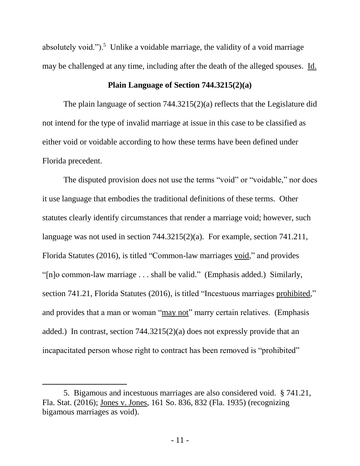absolutely void.").<sup>5</sup> Unlike a voidable marriage, the validity of a void marriage may be challenged at any time, including after the death of the alleged spouses. Id.

## **Plain Language of Section 744.3215(2)(a)**

The plain language of section 744.3215(2)(a) reflects that the Legislature did not intend for the type of invalid marriage at issue in this case to be classified as either void or voidable according to how these terms have been defined under Florida precedent.

The disputed provision does not use the terms "void" or "voidable," nor does it use language that embodies the traditional definitions of these terms. Other statutes clearly identify circumstances that render a marriage void; however, such language was not used in section 744.3215(2)(a). For example, section 741.211, Florida Statutes (2016), is titled "Common-law marriages void," and provides "[n]o common-law marriage . . . shall be valid." (Emphasis added.) Similarly, section 741.21, Florida Statutes (2016), is titled "Incestuous marriages prohibited," and provides that a man or woman "may not" marry certain relatives. (Emphasis added.) In contrast, section 744.3215(2)(a) does not expressly provide that an incapacitated person whose right to contract has been removed is "prohibited"

 $\overline{a}$ 

<sup>5.</sup> Bigamous and incestuous marriages are also considered void. § 741.21, Fla. Stat. (2016); Jones v. Jones, 161 So. 836, 832 (Fla. 1935) (recognizing bigamous marriages as void).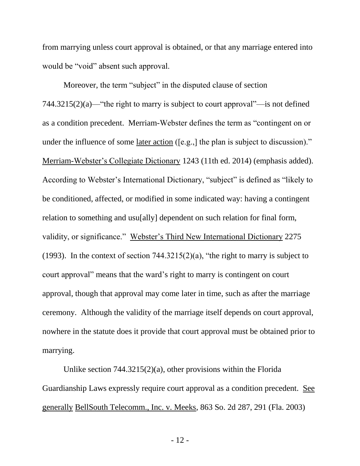from marrying unless court approval is obtained, or that any marriage entered into would be "void" absent such approval.

Moreover, the term "subject" in the disputed clause of section 744.3215(2)(a)—"the right to marry is subject to court approval"—is not defined as a condition precedent. Merriam-Webster defines the term as "contingent on or under the influence of some later action ([e.g.,] the plan is subject to discussion)." Merriam-Webster's Collegiate Dictionary 1243 (11th ed. 2014) (emphasis added). According to Webster's International Dictionary, "subject" is defined as "likely to be conditioned, affected, or modified in some indicated way: having a contingent relation to something and usu[ally] dependent on such relation for final form, validity, or significance." Webster's Third New International Dictionary 2275 (1993). In the context of section  $744.3215(2)(a)$ , "the right to marry is subject to court approval" means that the ward's right to marry is contingent on court approval, though that approval may come later in time, such as after the marriage ceremony. Although the validity of the marriage itself depends on court approval, nowhere in the statute does it provide that court approval must be obtained prior to marrying.

Unlike section 744.3215(2)(a), other provisions within the Florida Guardianship Laws expressly require court approval as a condition precedent. See generally BellSouth Telecomm., Inc. v. Meeks, 863 So. 2d 287, 291 (Fla. 2003)

- 12 -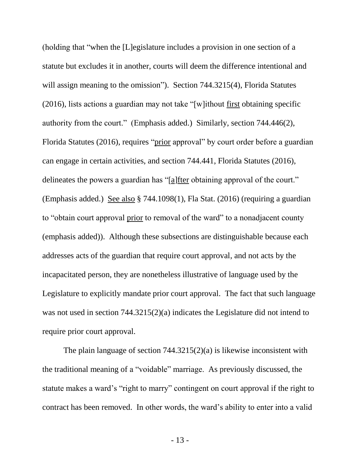(holding that "when the [L]egislature includes a provision in one section of a statute but excludes it in another, courts will deem the difference intentional and will assign meaning to the omission"). Section 744.3215(4), Florida Statutes (2016), lists actions a guardian may not take "[w]ithout first obtaining specific authority from the court." (Emphasis added.) Similarly, section 744.446(2), Florida Statutes (2016), requires "prior approval" by court order before a guardian can engage in certain activities, and section 744.441, Florida Statutes (2016), delineates the powers a guardian has "[a]fter obtaining approval of the court." (Emphasis added.) See also § 744.1098(1), Fla Stat. (2016) (requiring a guardian to "obtain court approval prior to removal of the ward" to a nonadjacent county (emphasis added)). Although these subsections are distinguishable because each addresses acts of the guardian that require court approval, and not acts by the incapacitated person, they are nonetheless illustrative of language used by the Legislature to explicitly mandate prior court approval. The fact that such language was not used in section 744.3215(2)(a) indicates the Legislature did not intend to require prior court approval.

The plain language of section 744.3215(2)(a) is likewise inconsistent with the traditional meaning of a "voidable" marriage. As previously discussed, the statute makes a ward's "right to marry" contingent on court approval if the right to contract has been removed. In other words, the ward's ability to enter into a valid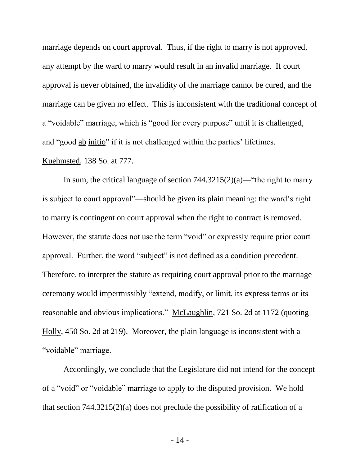marriage depends on court approval. Thus, if the right to marry is not approved, any attempt by the ward to marry would result in an invalid marriage. If court approval is never obtained, the invalidity of the marriage cannot be cured, and the marriage can be given no effect. This is inconsistent with the traditional concept of a "voidable" marriage, which is "good for every purpose" until it is challenged, and "good ab initio" if it is not challenged within the parties' lifetimes. Kuehmsted, 138 So. at 777.

In sum, the critical language of section  $744.3215(2)(a)$ —"the right to marry is subject to court approval"—should be given its plain meaning: the ward's right to marry is contingent on court approval when the right to contract is removed. However, the statute does not use the term "void" or expressly require prior court approval. Further, the word "subject" is not defined as a condition precedent. Therefore, to interpret the statute as requiring court approval prior to the marriage ceremony would impermissibly "extend, modify, or limit, its express terms or its reasonable and obvious implications." McLaughlin, 721 So. 2d at 1172 (quoting Holly, 450 So. 2d at 219). Moreover, the plain language is inconsistent with a "voidable" marriage.

Accordingly, we conclude that the Legislature did not intend for the concept of a "void" or "voidable" marriage to apply to the disputed provision. We hold that section 744.3215(2)(a) does not preclude the possibility of ratification of a

- 14 -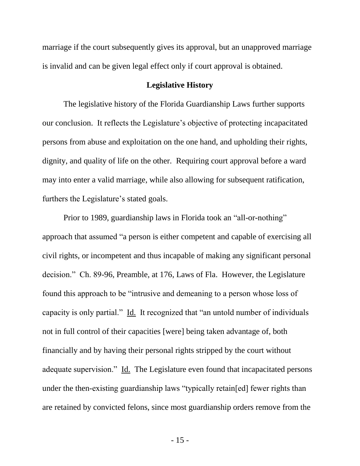marriage if the court subsequently gives its approval, but an unapproved marriage is invalid and can be given legal effect only if court approval is obtained.

#### **Legislative History**

The legislative history of the Florida Guardianship Laws further supports our conclusion. It reflects the Legislature's objective of protecting incapacitated persons from abuse and exploitation on the one hand, and upholding their rights, dignity, and quality of life on the other. Requiring court approval before a ward may into enter a valid marriage, while also allowing for subsequent ratification, furthers the Legislature's stated goals.

Prior to 1989, guardianship laws in Florida took an "all-or-nothing" approach that assumed "a person is either competent and capable of exercising all civil rights, or incompetent and thus incapable of making any significant personal decision." Ch. 89-96, Preamble, at 176, Laws of Fla. However, the Legislature found this approach to be "intrusive and demeaning to a person whose loss of capacity is only partial." Id. It recognized that "an untold number of individuals not in full control of their capacities [were] being taken advantage of, both financially and by having their personal rights stripped by the court without adequate supervision." Id. The Legislature even found that incapacitated persons under the then-existing guardianship laws "typically retain[ed] fewer rights than are retained by convicted felons, since most guardianship orders remove from the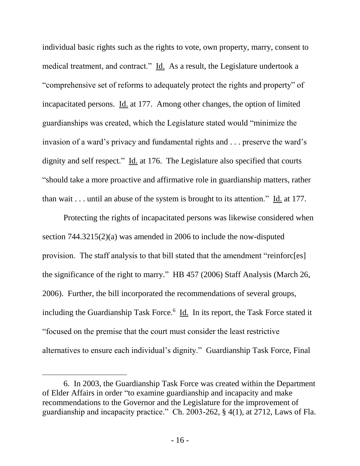individual basic rights such as the rights to vote, own property, marry, consent to medical treatment, and contract." Id. As a result, the Legislature undertook a "comprehensive set of reforms to adequately protect the rights and property" of incapacitated persons. Id. at 177. Among other changes, the option of limited guardianships was created, which the Legislature stated would "minimize the invasion of a ward's privacy and fundamental rights and . . . preserve the ward's dignity and self respect." Id. at 176. The Legislature also specified that courts "should take a more proactive and affirmative role in guardianship matters, rather than wait . . . until an abuse of the system is brought to its attention." Id. at 177.

Protecting the rights of incapacitated persons was likewise considered when section 744.3215(2)(a) was amended in 2006 to include the now-disputed provision. The staff analysis to that bill stated that the amendment "reinforc[es] the significance of the right to marry." HB 457 (2006) Staff Analysis (March 26, 2006). Further, the bill incorporated the recommendations of several groups, including the Guardianship Task Force.<sup>6</sup> *Id.* In its report, the Task Force stated it "focused on the premise that the court must consider the least restrictive alternatives to ensure each individual's dignity." Guardianship Task Force, Final

 $\overline{a}$ 

<sup>6.</sup> In 2003, the Guardianship Task Force was created within the Department of Elder Affairs in order "to examine guardianship and incapacity and make recommendations to the Governor and the Legislature for the improvement of guardianship and incapacity practice." Ch. 2003-262, § 4(1), at 2712, Laws of Fla.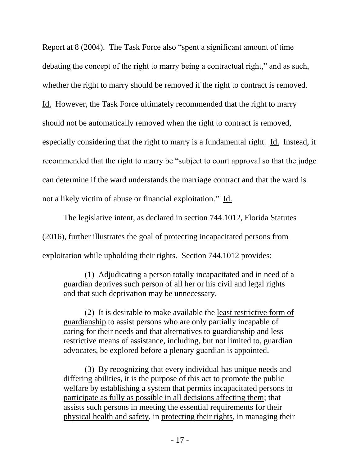Report at 8 (2004). The Task Force also "spent a significant amount of time debating the concept of the right to marry being a contractual right," and as such, whether the right to marry should be removed if the right to contract is removed. Id. However, the Task Force ultimately recommended that the right to marry should not be automatically removed when the right to contract is removed, especially considering that the right to marry is a fundamental right. Id. Instead, it recommended that the right to marry be "subject to court approval so that the judge can determine if the ward understands the marriage contract and that the ward is not a likely victim of abuse or financial exploitation." Id.

The legislative intent, as declared in section 744.1012, Florida Statutes (2016), further illustrates the goal of protecting incapacitated persons from exploitation while upholding their rights. Section 744.1012 provides:

(1) Adjudicating a person totally incapacitated and in need of a guardian deprives such person of all her or his civil and legal rights and that such deprivation may be unnecessary.

(2) It is desirable to make available the least restrictive form of guardianship to assist persons who are only partially incapable of caring for their needs and that alternatives to guardianship and less restrictive means of assistance, including, but not limited to, guardian advocates, be explored before a plenary guardian is appointed.

(3) By recognizing that every individual has unique needs and differing abilities, it is the purpose of this act to promote the public welfare by establishing a system that permits incapacitated persons to participate as fully as possible in all decisions affecting them; that assists such persons in meeting the essential requirements for their physical health and safety, in protecting their rights, in managing their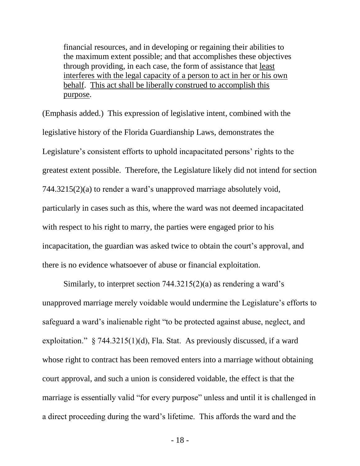financial resources, and in developing or regaining their abilities to the maximum extent possible; and that accomplishes these objectives through providing, in each case, the form of assistance that least interferes with the legal capacity of a person to act in her or his own behalf. This act shall be liberally construed to accomplish this purpose.

(Emphasis added.) This expression of legislative intent, combined with the legislative history of the Florida Guardianship Laws, demonstrates the Legislature's consistent efforts to uphold incapacitated persons' rights to the greatest extent possible. Therefore, the Legislature likely did not intend for section 744.3215(2)(a) to render a ward's unapproved marriage absolutely void, particularly in cases such as this, where the ward was not deemed incapacitated with respect to his right to marry, the parties were engaged prior to his incapacitation, the guardian was asked twice to obtain the court's approval, and there is no evidence whatsoever of abuse or financial exploitation.

Similarly, to interpret section 744.3215(2)(a) as rendering a ward's unapproved marriage merely voidable would undermine the Legislature's efforts to safeguard a ward's inalienable right "to be protected against abuse, neglect, and exploitation." § 744.3215(1)(d), Fla. Stat. As previously discussed, if a ward whose right to contract has been removed enters into a marriage without obtaining court approval, and such a union is considered voidable, the effect is that the marriage is essentially valid "for every purpose" unless and until it is challenged in a direct proceeding during the ward's lifetime. This affords the ward and the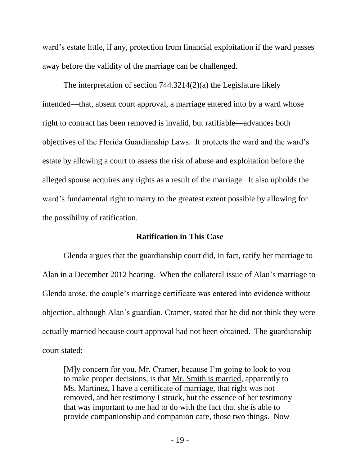ward's estate little, if any, protection from financial exploitation if the ward passes away before the validity of the marriage can be challenged.

The interpretation of section 744.3214(2)(a) the Legislature likely intended—that, absent court approval, a marriage entered into by a ward whose right to contract has been removed is invalid, but ratifiable—advances both objectives of the Florida Guardianship Laws. It protects the ward and the ward's estate by allowing a court to assess the risk of abuse and exploitation before the alleged spouse acquires any rights as a result of the marriage. It also upholds the ward's fundamental right to marry to the greatest extent possible by allowing for the possibility of ratification.

## **Ratification in This Case**

Glenda argues that the guardianship court did, in fact, ratify her marriage to Alan in a December 2012 hearing. When the collateral issue of Alan's marriage to Glenda arose, the couple's marriage certificate was entered into evidence without objection, although Alan's guardian, Cramer, stated that he did not think they were actually married because court approval had not been obtained. The guardianship court stated:

[M]y concern for you, Mr. Cramer, because I'm going to look to you to make proper decisions, is that Mr. Smith is married, apparently to Ms. Martinez, I have a certificate of marriage, that right was not removed, and her testimony I struck, but the essence of her testimony that was important to me had to do with the fact that she is able to provide companionship and companion care, those two things. Now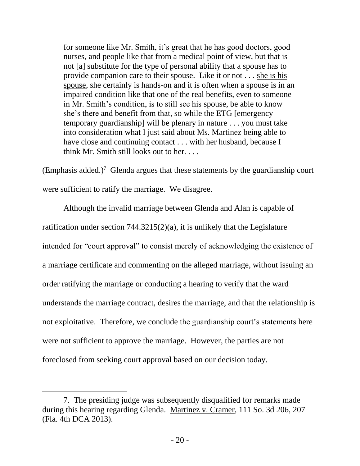for someone like Mr. Smith, it's great that he has good doctors, good nurses, and people like that from a medical point of view, but that is not [a] substitute for the type of personal ability that a spouse has to provide companion care to their spouse. Like it or not . . . she is his spouse, she certainly is hands-on and it is often when a spouse is in an impaired condition like that one of the real benefits, even to someone in Mr. Smith's condition, is to still see his spouse, be able to know she's there and benefit from that, so while the ETG [emergency temporary guardianship] will be plenary in nature . . . you must take into consideration what I just said about Ms. Martinez being able to have close and continuing contact . . . with her husband, because I think Mr. Smith still looks out to her. . . .

(Emphasis added.)<sup>7</sup> Glenda argues that these statements by the guardianship court were sufficient to ratify the marriage. We disagree.

Although the invalid marriage between Glenda and Alan is capable of ratification under section 744.3215(2)(a), it is unlikely that the Legislature intended for "court approval" to consist merely of acknowledging the existence of a marriage certificate and commenting on the alleged marriage, without issuing an order ratifying the marriage or conducting a hearing to verify that the ward understands the marriage contract, desires the marriage, and that the relationship is not exploitative. Therefore, we conclude the guardianship court's statements here were not sufficient to approve the marriage. However, the parties are not foreclosed from seeking court approval based on our decision today.

 $\overline{a}$ 

<sup>7.</sup> The presiding judge was subsequently disqualified for remarks made during this hearing regarding Glenda. Martinez v. Cramer, 111 So. 3d 206, 207 (Fla. 4th DCA 2013).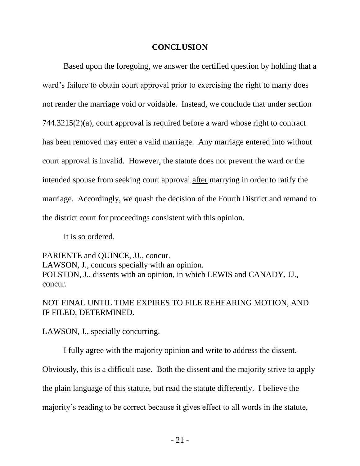# **CONCLUSION**

Based upon the foregoing, we answer the certified question by holding that a ward's failure to obtain court approval prior to exercising the right to marry does not render the marriage void or voidable. Instead, we conclude that under section 744.3215(2)(a), court approval is required before a ward whose right to contract has been removed may enter a valid marriage. Any marriage entered into without court approval is invalid. However, the statute does not prevent the ward or the intended spouse from seeking court approval after marrying in order to ratify the marriage. Accordingly, we quash the decision of the Fourth District and remand to the district court for proceedings consistent with this opinion.

It is so ordered.

PARIENTE and QUINCE, JJ., concur. LAWSON, J., concurs specially with an opinion. POLSTON, J., dissents with an opinion, in which LEWIS and CANADY, JJ., concur.

NOT FINAL UNTIL TIME EXPIRES TO FILE REHEARING MOTION, AND IF FILED, DETERMINED.

LAWSON, J., specially concurring.

I fully agree with the majority opinion and write to address the dissent.

Obviously, this is a difficult case. Both the dissent and the majority strive to apply

the plain language of this statute, but read the statute differently. I believe the

majority's reading to be correct because it gives effect to all words in the statute,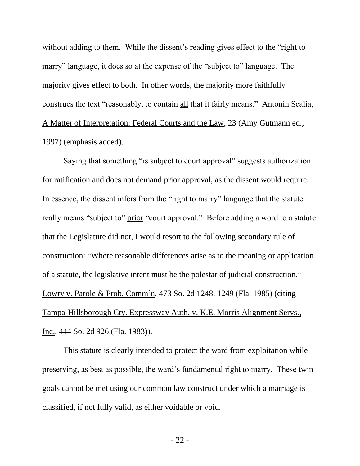without adding to them. While the dissent's reading gives effect to the "right to" marry" language, it does so at the expense of the "subject to" language. The majority gives effect to both. In other words, the majority more faithfully construes the text "reasonably, to contain all that it fairly means." Antonin Scalia, A Matter of Interpretation: Federal Courts and the Law, 23 (Amy Gutmann ed., 1997) (emphasis added).

Saying that something "is subject to court approval" suggests authorization for ratification and does not demand prior approval, as the dissent would require. In essence, the dissent infers from the "right to marry" language that the statute really means "subject to" prior "court approval." Before adding a word to a statute that the Legislature did not, I would resort to the following secondary rule of construction: "Where reasonable differences arise as to the meaning or application of a statute, the legislative intent must be the polestar of judicial construction." Lowry v. Parole & Prob. Comm'n, 473 So. 2d 1248, 1249 (Fla. 1985) (citing Tampa-Hillsborough Cty. Expressway Auth. v. K.E. Morris Alignment Servs., Inc., 444 So. 2d 926 (Fla. 1983)).

This statute is clearly intended to protect the ward from exploitation while preserving, as best as possible, the ward's fundamental right to marry. These twin goals cannot be met using our common law construct under which a marriage is classified, if not fully valid, as either voidable or void.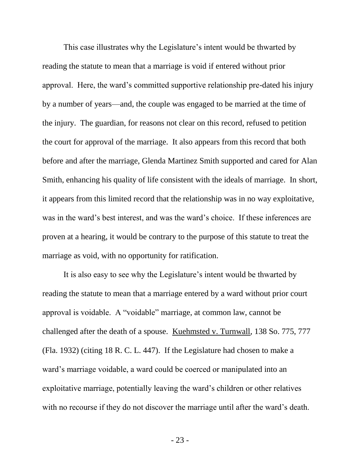This case illustrates why the Legislature's intent would be thwarted by reading the statute to mean that a marriage is void if entered without prior approval. Here, the ward's committed supportive relationship pre-dated his injury by a number of years—and, the couple was engaged to be married at the time of the injury. The guardian, for reasons not clear on this record, refused to petition the court for approval of the marriage. It also appears from this record that both before and after the marriage, Glenda Martinez Smith supported and cared for Alan Smith, enhancing his quality of life consistent with the ideals of marriage. In short, it appears from this limited record that the relationship was in no way exploitative, was in the ward's best interest, and was the ward's choice. If these inferences are proven at a hearing, it would be contrary to the purpose of this statute to treat the marriage as void, with no opportunity for ratification.

It is also easy to see why the Legislature's intent would be thwarted by reading the statute to mean that a marriage entered by a ward without prior court approval is voidable. A "voidable" marriage, at common law, cannot be challenged after the death of a spouse. Kuehmsted v. Turnwall, 138 So. 775, 777 (Fla. 1932) (citing 18 R. C. L. 447). If the Legislature had chosen to make a ward's marriage voidable, a ward could be coerced or manipulated into an exploitative marriage, potentially leaving the ward's children or other relatives with no recourse if they do not discover the marriage until after the ward's death.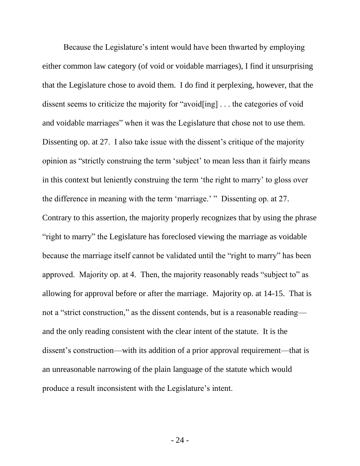Because the Legislature's intent would have been thwarted by employing either common law category (of void or voidable marriages), I find it unsurprising that the Legislature chose to avoid them. I do find it perplexing, however, that the dissent seems to criticize the majority for "avoid[ing] . . . the categories of void and voidable marriages" when it was the Legislature that chose not to use them. Dissenting op. at 27. I also take issue with the dissent's critique of the majority opinion as "strictly construing the term 'subject' to mean less than it fairly means in this context but leniently construing the term 'the right to marry' to gloss over the difference in meaning with the term 'marriage.' " Dissenting op. at 27. Contrary to this assertion, the majority properly recognizes that by using the phrase "right to marry" the Legislature has foreclosed viewing the marriage as voidable because the marriage itself cannot be validated until the "right to marry" has been approved. Majority op. at 4. Then, the majority reasonably reads "subject to" as allowing for approval before or after the marriage. Majority op. at 14-15. That is not a "strict construction," as the dissent contends, but is a reasonable reading and the only reading consistent with the clear intent of the statute. It is the dissent's construction—with its addition of a prior approval requirement—that is an unreasonable narrowing of the plain language of the statute which would produce a result inconsistent with the Legislature's intent.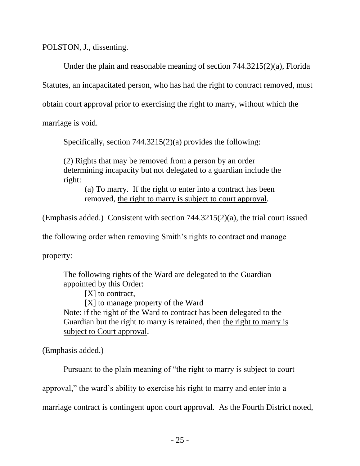POLSTON, J., dissenting.

Under the plain and reasonable meaning of section 744.3215(2)(a), Florida

Statutes, an incapacitated person, who has had the right to contract removed, must

obtain court approval prior to exercising the right to marry, without which the

marriage is void.

Specifically, section 744.3215(2)(a) provides the following:

(2) Rights that may be removed from a person by an order determining incapacity but not delegated to a guardian include the right:

(a) To marry. If the right to enter into a contract has been removed, the right to marry is subject to court approval.

(Emphasis added.) Consistent with section 744.3215(2)(a), the trial court issued

the following order when removing Smith's rights to contract and manage

property:

The following rights of the Ward are delegated to the Guardian appointed by this Order:

[X] to contract,

[X] to manage property of the Ward Note: if the right of the Ward to contract has been delegated to the Guardian but the right to marry is retained, then the right to marry is subject to Court approval.

(Emphasis added.)

Pursuant to the plain meaning of "the right to marry is subject to court

approval," the ward's ability to exercise his right to marry and enter into a

marriage contract is contingent upon court approval. As the Fourth District noted,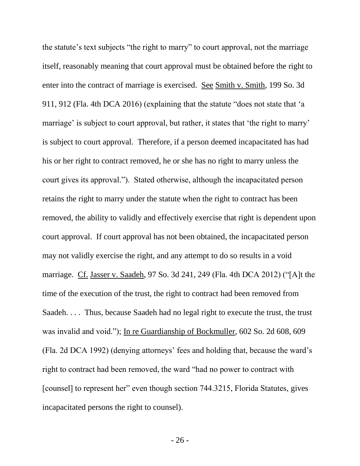the statute's text subjects "the right to marry" to court approval, not the marriage itself, reasonably meaning that court approval must be obtained before the right to enter into the contract of marriage is exercised. See Smith v. Smith, 199 So. 3d 911, 912 (Fla. 4th DCA 2016) (explaining that the statute "does not state that 'a marriage' is subject to court approval, but rather, it states that 'the right to marry' is subject to court approval. Therefore, if a person deemed incapacitated has had his or her right to contract removed, he or she has no right to marry unless the court gives its approval."). Stated otherwise, although the incapacitated person retains the right to marry under the statute when the right to contract has been removed, the ability to validly and effectively exercise that right is dependent upon court approval. If court approval has not been obtained, the incapacitated person may not validly exercise the right, and any attempt to do so results in a void marriage. Cf. Jasser v. Saadeh, 97 So. 3d 241, 249 (Fla. 4th DCA 2012) ("[A]t the time of the execution of the trust, the right to contract had been removed from Saadeh. . . . Thus, because Saadeh had no legal right to execute the trust, the trust was invalid and void."); In re Guardianship of Bockmuller, 602 So. 2d 608, 609 (Fla. 2d DCA 1992) (denying attorneys' fees and holding that, because the ward's right to contract had been removed, the ward "had no power to contract with [counsel] to represent her" even though section 744.3215, Florida Statutes, gives incapacitated persons the right to counsel).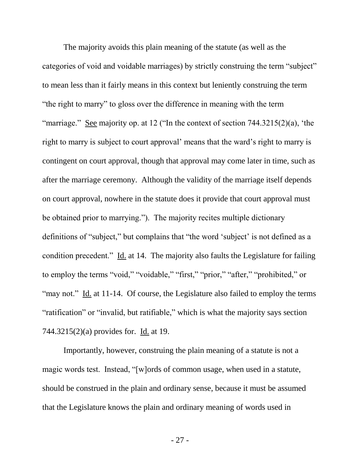The majority avoids this plain meaning of the statute (as well as the categories of void and voidable marriages) by strictly construing the term "subject" to mean less than it fairly means in this context but leniently construing the term "the right to marry" to gloss over the difference in meaning with the term "marriage." See majority op. at 12 ("In the context of section  $744.3215(2)(a)$ , 'the right to marry is subject to court approval' means that the ward's right to marry is contingent on court approval, though that approval may come later in time, such as after the marriage ceremony. Although the validity of the marriage itself depends on court approval, nowhere in the statute does it provide that court approval must be obtained prior to marrying."). The majority recites multiple dictionary definitions of "subject," but complains that "the word 'subject' is not defined as a condition precedent." Id. at 14. The majority also faults the Legislature for failing to employ the terms "void," "voidable," "first," "prior," "after," "prohibited," or "may not." Id. at 11-14. Of course, the Legislature also failed to employ the terms "ratification" or "invalid, but ratifiable," which is what the majority says section 744.3215(2)(a) provides for. Id. at 19.

Importantly, however, construing the plain meaning of a statute is not a magic words test. Instead, "[w]ords of common usage, when used in a statute, should be construed in the plain and ordinary sense, because it must be assumed that the Legislature knows the plain and ordinary meaning of words used in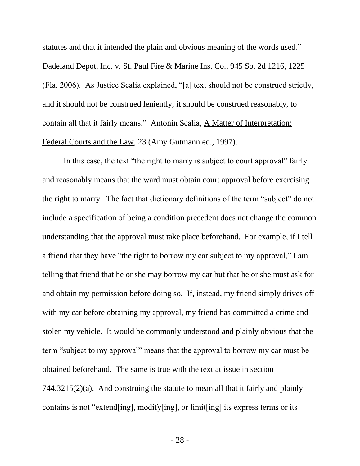statutes and that it intended the plain and obvious meaning of the words used." Dadeland Depot, Inc. v. St. Paul Fire & Marine Ins. Co., 945 So. 2d 1216, 1225 (Fla. 2006). As Justice Scalia explained, "[a] text should not be construed strictly, and it should not be construed leniently; it should be construed reasonably, to contain all that it fairly means." Antonin Scalia, A Matter of Interpretation: Federal Courts and the Law, 23 (Amy Gutmann ed., 1997).

In this case, the text "the right to marry is subject to court approval" fairly and reasonably means that the ward must obtain court approval before exercising the right to marry. The fact that dictionary definitions of the term "subject" do not include a specification of being a condition precedent does not change the common understanding that the approval must take place beforehand. For example, if I tell a friend that they have "the right to borrow my car subject to my approval," I am telling that friend that he or she may borrow my car but that he or she must ask for and obtain my permission before doing so. If, instead, my friend simply drives off with my car before obtaining my approval, my friend has committed a crime and stolen my vehicle. It would be commonly understood and plainly obvious that the term "subject to my approval" means that the approval to borrow my car must be obtained beforehand. The same is true with the text at issue in section  $744.3215(2)(a)$ . And construing the statute to mean all that it fairly and plainly contains is not "extend[ing], modify[ing], or limit[ing] its express terms or its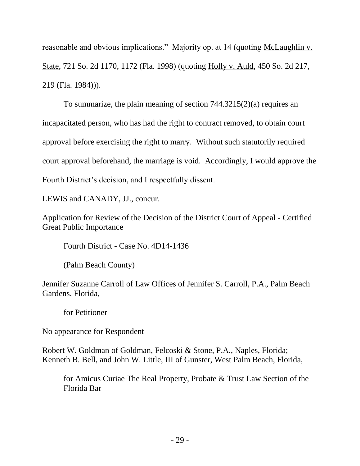reasonable and obvious implications." Majority op. at 14 (quoting McLaughlin v. State, 721 So. 2d 1170, 1172 (Fla. 1998) (quoting Holly v. Auld, 450 So. 2d 217, 219 (Fla. 1984))).

To summarize, the plain meaning of section 744.3215(2)(a) requires an incapacitated person, who has had the right to contract removed, to obtain court approval before exercising the right to marry. Without such statutorily required court approval beforehand, the marriage is void. Accordingly, I would approve the Fourth District's decision, and I respectfully dissent.

LEWIS and CANADY, JJ., concur.

Application for Review of the Decision of the District Court of Appeal - Certified Great Public Importance

Fourth District - Case No. 4D14-1436

(Palm Beach County)

Jennifer Suzanne Carroll of Law Offices of Jennifer S. Carroll, P.A., Palm Beach Gardens, Florida,

for Petitioner

No appearance for Respondent

Robert W. Goldman of Goldman, Felcoski & Stone, P.A., Naples, Florida; Kenneth B. Bell, and John W. Little, III of Gunster, West Palm Beach, Florida,

for Amicus Curiae The Real Property, Probate & Trust Law Section of the Florida Bar